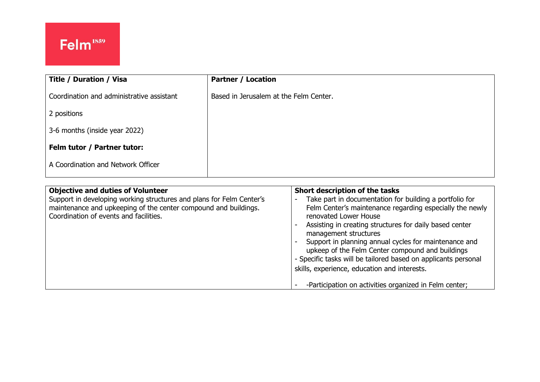| Title / Duration / Visa                   | <b>Partner / Location</b>              |
|-------------------------------------------|----------------------------------------|
| Coordination and administrative assistant | Based in Jerusalem at the Felm Center. |
| 2 positions                               |                                        |
| 3-6 months (inside year 2022)             |                                        |
| Felm tutor / Partner tutor:               |                                        |
| A Coordination and Network Officer        |                                        |
|                                           |                                        |

| <b>Objective and duties of Volunteer</b><br>Support in developing working structures and plans for Felm Center's<br>maintenance and upkeeping of the center compound and buildings.<br>Coordination of events and facilities. | Short description of the tasks<br>Take part in documentation for building a portfolio for<br>-<br>Felm Center's maintenance regarding especially the newly<br>renovated Lower House<br>Assisting in creating structures for daily based center<br>management structures<br>Support in planning annual cycles for maintenance and<br>$\overline{\phantom{a}}$<br>upkeep of the Felm Center compound and buildings<br>- Specific tasks will be tailored based on applicants personal<br>skills, experience, education and interests. |
|-------------------------------------------------------------------------------------------------------------------------------------------------------------------------------------------------------------------------------|------------------------------------------------------------------------------------------------------------------------------------------------------------------------------------------------------------------------------------------------------------------------------------------------------------------------------------------------------------------------------------------------------------------------------------------------------------------------------------------------------------------------------------|
|                                                                                                                                                                                                                               | -Participation on activities organized in Felm center;                                                                                                                                                                                                                                                                                                                                                                                                                                                                             |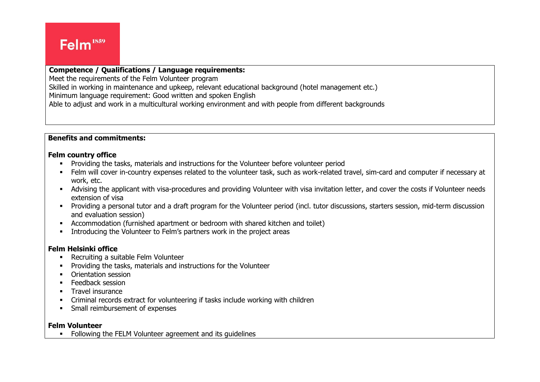#### Ļ **Competence / Qualifications / Language requirements:**

Meet the requirements of the Felm Volunteer program

Skilled in working in maintenance and upkeep, relevant educational background (hotel management etc.)

Minimum language requirement: Good written and spoken English

Able to adjust and work in a multicultural working environment and with people from different backgrounds

## **Benefits and commitments:**

#### **Felm country office**

- Providing the tasks, materials and instructions for the Volunteer before volunteer period
- Felm will cover in-country expenses related to the volunteer task, such as work-related travel, sim-card and computer if necessary at work, etc.
- Advising the applicant with visa-procedures and providing Volunteer with visa invitation letter, and cover the costs if Volunteer needs extension of visa
- Providing a personal tutor and a draft program for the Volunteer period (incl. tutor discussions, starters session, mid-term discussion and evaluation session)
- Accommodation (furnished apartment or bedroom with shared kitchen and toilet)
- Introducing the Volunteer to Felm's partners work in the project areas

### **Felm Helsinki office**

- Recruiting a suitable Felm Volunteer
- **•** Providing the tasks, materials and instructions for the Volunteer
- Orientation session
- **E** Feedback session
- **■** Travel insurance
- Criminal records extract for volunteering if tasks include working with children
- **•** Small reimbursement of expenses

### **Felm Volunteer**

■ Following the FELM Volunteer agreement and its quidelines